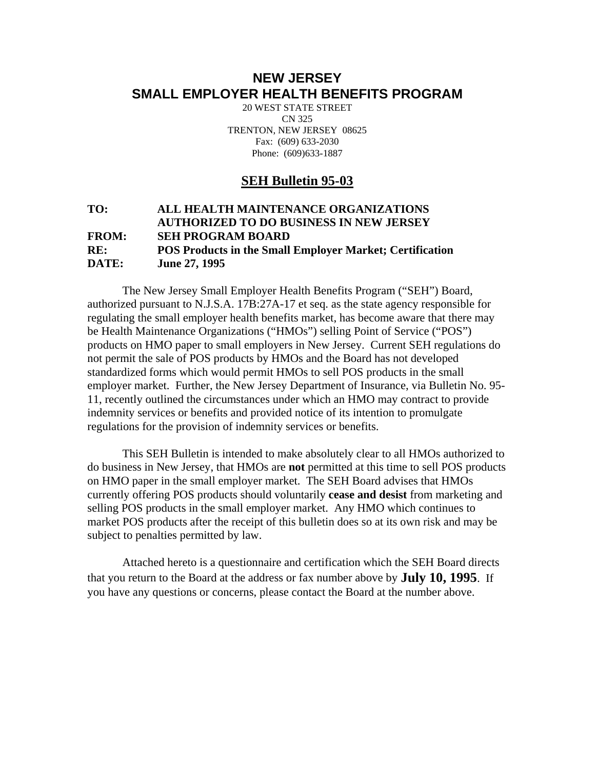## **NEW JERSEY SMALL EMPLOYER HEALTH BENEFITS PROGRAM**

20 WEST STATE STREET CN 325 TRENTON, NEW JERSEY 08625 Fax: (609) 633-2030 Phone: (609)633-1887

### **SEH Bulletin 95-03**

#### **TO: ALL HEALTH MAINTENANCE ORGANIZATIONS AUTHORIZED TO DO BUSINESS IN NEW JERSEY FROM: SEH PROGRAM BOARD RE: POS Products in the Small Employer Market; Certification DATE: June 27, 1995**

 The New Jersey Small Employer Health Benefits Program ("SEH") Board, authorized pursuant to N.J.S.A. 17B:27A-17 et seq. as the state agency responsible for regulating the small employer health benefits market, has become aware that there may be Health Maintenance Organizations ("HMOs") selling Point of Service ("POS") products on HMO paper to small employers in New Jersey. Current SEH regulations do not permit the sale of POS products by HMOs and the Board has not developed standardized forms which would permit HMOs to sell POS products in the small employer market. Further, the New Jersey Department of Insurance, via Bulletin No. 95- 11, recently outlined the circumstances under which an HMO may contract to provide indemnity services or benefits and provided notice of its intention to promulgate regulations for the provision of indemnity services or benefits.

 This SEH Bulletin is intended to make absolutely clear to all HMOs authorized to do business in New Jersey, that HMOs are **not** permitted at this time to sell POS products on HMO paper in the small employer market. The SEH Board advises that HMOs currently offering POS products should voluntarily **cease and desist** from marketing and selling POS products in the small employer market. Any HMO which continues to market POS products after the receipt of this bulletin does so at its own risk and may be subject to penalties permitted by law.

 Attached hereto is a questionnaire and certification which the SEH Board directs that you return to the Board at the address or fax number above by **July 10, 1995**. If you have any questions or concerns, please contact the Board at the number above.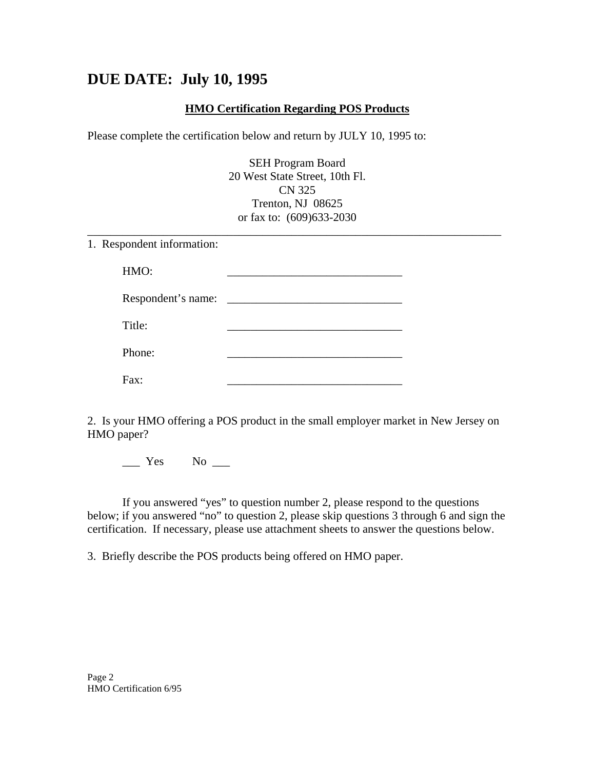# **DUE DATE: July 10, 1995**

#### **HMO Certification Regarding POS Products**

Please complete the certification below and return by JULY 10, 1995 to:

SEH Program Board 20 West State Street, 10th Fl. CN 325 Trenton, NJ 08625 or fax to: (609)633-2030

\_\_\_\_\_\_\_\_\_\_\_\_\_\_\_\_\_\_\_\_\_\_\_\_\_\_\_\_\_\_\_\_\_\_\_\_\_\_\_\_\_\_\_\_\_\_\_\_\_\_\_\_\_\_\_\_\_\_\_\_\_\_\_\_\_\_\_\_\_\_\_

1. Respondent information:

| HMO:               |  |
|--------------------|--|
| Respondent's name: |  |
| Title:             |  |
| Phone:             |  |
| Fax:               |  |

2. Is your HMO offering a POS product in the small employer market in New Jersey on HMO paper?

 $\_\_$  Yes No  $\_\_$ 

 If you answered "yes" to question number 2, please respond to the questions below; if you answered "no" to question 2, please skip questions 3 through 6 and sign the certification. If necessary, please use attachment sheets to answer the questions below.

3. Briefly describe the POS products being offered on HMO paper.